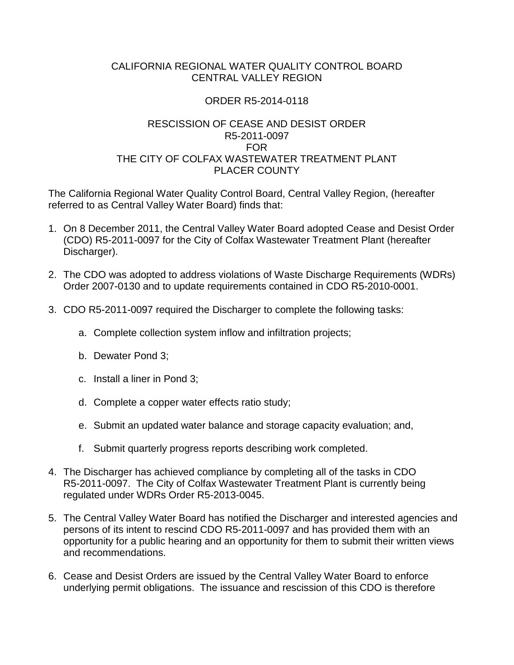## CALIFORNIA REGIONAL WATER QUALITY CONTROL BOARD CENTRAL VALLEY REGION

## ORDER R5-2014-0118

## RESCISSION OF CEASE AND DESIST ORDER R5-2011-0097 FOR THE CITY OF COLFAX WASTEWATER TREATMENT PLANT PLACER COUNTY

The California Regional Water Quality Control Board, Central Valley Region, (hereafter referred to as Central Valley Water Board) finds that:

- 1. On 8 December 2011, the Central Valley Water Board adopted Cease and Desist Order (CDO) R5-2011-0097 for the City of Colfax Wastewater Treatment Plant (hereafter Discharger).
- 2. The CDO was adopted to address violations of Waste Discharge Requirements (WDRs) Order 2007-0130 and to update requirements contained in CDO R5-2010-0001.
- 3. CDO R5-2011-0097 required the Discharger to complete the following tasks:
	- a. Complete collection system inflow and infiltration projects;
	- b. Dewater Pond 3;
	- c. Install a liner in Pond 3;
	- d. Complete a copper water effects ratio study;
	- e. Submit an updated water balance and storage capacity evaluation; and,
	- f. Submit quarterly progress reports describing work completed.
- 4. The Discharger has achieved compliance by completing all of the tasks in CDO R5-2011-0097. The City of Colfax Wastewater Treatment Plant is currently being regulated under WDRs Order R5-2013-0045.
- 5. The Central Valley Water Board has notified the Discharger and interested agencies and persons of its intent to rescind CDO R5-2011-0097 and has provided them with an opportunity for a public hearing and an opportunity for them to submit their written views and recommendations.
- 6. Cease and Desist Orders are issued by the Central Valley Water Board to enforce underlying permit obligations. The issuance and rescission of this CDO is therefore